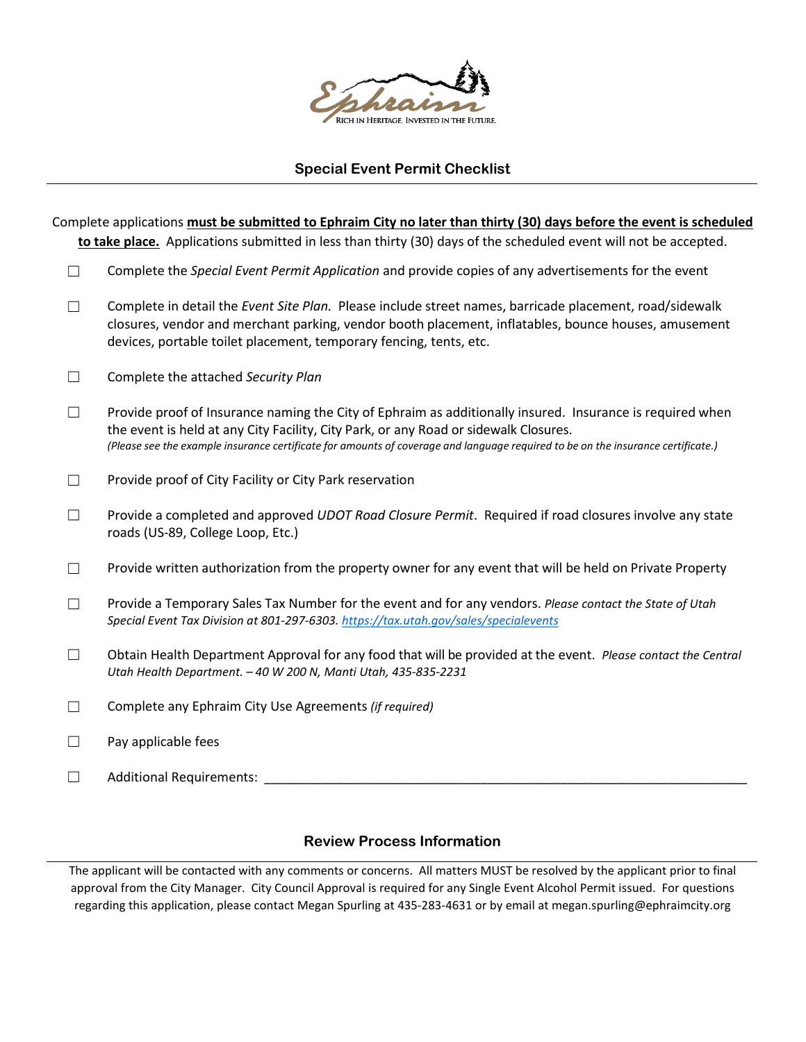

## **Special Event Permit Checklist**

|                   | Complete applications must be submitted to Ephraim City no later than thirty (30) days before the event is scheduled                                                                                                                                                                                                                  |
|-------------------|---------------------------------------------------------------------------------------------------------------------------------------------------------------------------------------------------------------------------------------------------------------------------------------------------------------------------------------|
|                   | to take place. Applications submitted in less than thirty (30) days of the scheduled event will not be accepted.                                                                                                                                                                                                                      |
| $\vert \ \ \vert$ | Complete the Special Event Permit Application and provide copies of any advertisements for the event                                                                                                                                                                                                                                  |
| $\mathsf{L}$      | Complete in detail the Event Site Plan. Please include street names, barricade placement, road/sidewalk<br>closures, vendor and merchant parking, vendor booth placement, inflatables, bounce houses, amusement<br>devices, portable toilet placement, temporary fencing, tents, etc.                                                 |
| П                 | Complete the attached Security Plan                                                                                                                                                                                                                                                                                                   |
| $\mathsf{L}$      | Provide proof of Insurance naming the City of Ephraim as additionally insured. Insurance is required when<br>the event is held at any City Facility, City Park, or any Road or sidewalk Closures.<br>(Please see the example insurance certificate for amounts of coverage and language required to be on the insurance certificate.) |
| П                 | Provide proof of City Facility or City Park reservation                                                                                                                                                                                                                                                                               |
| $\Box$            | Provide a completed and approved UDOT Road Closure Permit. Required if road closures involve any state<br>roads (US-89, College Loop, Etc.)                                                                                                                                                                                           |
| $\vert \ \ \vert$ | Provide written authorization from the property owner for any event that will be held on Private Property                                                                                                                                                                                                                             |
| П                 | Provide a Temporary Sales Tax Number for the event and for any vendors. Please contact the State of Utah<br>Special Event Tax Division at 801-297-6303. https://tax.utah.gov/sales/specialevents                                                                                                                                      |
| П                 | Obtain Health Department Approval for any food that will be provided at the event. Please contact the Central<br>Utah Health Department. - 40 W 200 N, Manti Utah, 435-835-2231                                                                                                                                                       |
| $\mathcal{L}$     | Complete any Ephraim City Use Agreements (if required)                                                                                                                                                                                                                                                                                |
| П                 | Pay applicable fees                                                                                                                                                                                                                                                                                                                   |
| $\vert \ \ \vert$ | <b>Additional Requirements:</b>                                                                                                                                                                                                                                                                                                       |

## **Review Process Information**

The applicant will be contacted with any comments or concerns. All matters MUST be resolved by the applicant prior to final approval from the City Manager. City Council Approval is required for any Single Event Alcohol Permit issued. For questions regarding this application, please contact Megan Spurling at 435-283-4631 or by email at megan.spurling@ephraimcity.org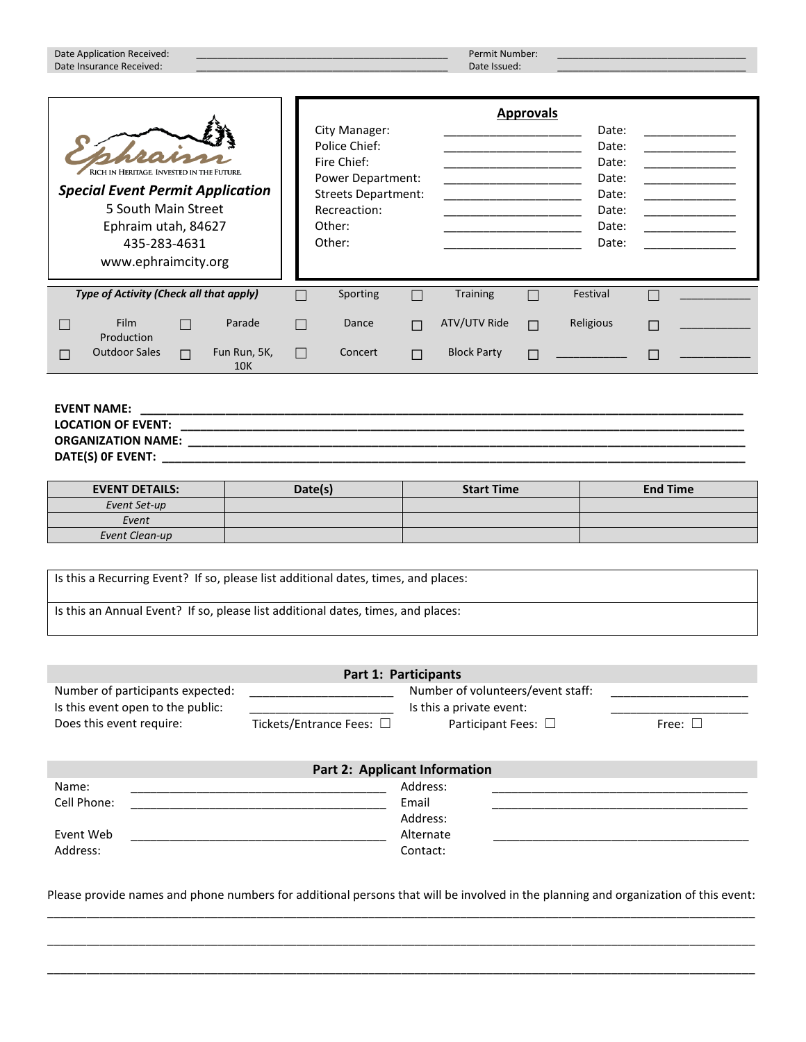|                                                                                                                                                                           | Date Application Received:<br>Date Insurance Received: |        |                            |              |                                                                                                                                      |        | Permit Number:<br>Date Issued: |                  |                                                                      |  |
|---------------------------------------------------------------------------------------------------------------------------------------------------------------------------|--------------------------------------------------------|--------|----------------------------|--------------|--------------------------------------------------------------------------------------------------------------------------------------|--------|--------------------------------|------------------|----------------------------------------------------------------------|--|
| RICH IN HERITAGE. INVESTED IN THE FUTURE.<br><b>Special Event Permit Application</b><br>5 South Main Street<br>Ephraim utah, 84627<br>435-283-4631<br>www.ephraimcity.org |                                                        |        |                            |              | City Manager:<br>Police Chief:<br>Fire Chief:<br>Power Department:<br><b>Streets Department:</b><br>Recreaction:<br>Other:<br>Other: |        |                                | <b>Approvals</b> | Date:<br>Date:<br>Date:<br>Date:<br>Date:<br>Date:<br>Date:<br>Date: |  |
|                                                                                                                                                                           | Type of Activity (Check all that apply)                |        |                            |              | Sporting                                                                                                                             |        | <b>Training</b>                |                  | Festival                                                             |  |
|                                                                                                                                                                           | <b>Film</b><br>Production                              |        | Parade                     | П            | Dance                                                                                                                                | $\Box$ | ATV/UTV Ride                   | $\Box$           | Religious                                                            |  |
| $\Box$                                                                                                                                                                    | <b>Outdoor Sales</b>                                   | $\Box$ | Fun Run, 5K,<br><b>10K</b> | $\mathbf{I}$ | Concert                                                                                                                              |        | <b>Block Party</b>             |                  |                                                                      |  |

### **EVENT NAME: \_\_\_\_\_\_\_\_\_\_\_\_\_\_\_\_\_\_\_\_\_\_\_\_\_\_\_\_\_\_\_\_\_\_\_\_\_\_\_\_\_\_\_\_\_\_\_\_\_\_\_\_\_\_\_\_\_\_\_\_\_\_\_\_\_\_\_\_\_\_\_\_\_\_\_\_\_\_\_\_\_\_\_\_\_\_\_\_\_\_\_\_ LOCATION OF EVENT: \_\_\_\_\_\_\_\_\_\_\_\_\_\_\_\_\_\_\_\_\_\_\_\_\_\_\_\_\_\_\_\_\_\_\_\_\_\_\_\_\_\_\_\_\_\_\_\_\_\_\_\_\_\_\_\_\_\_\_\_\_\_\_\_\_\_\_\_\_\_\_\_\_\_\_\_\_\_\_\_\_\_\_\_\_\_ ORGANIZATION NAME: \_\_\_\_\_\_\_\_\_\_\_\_\_\_\_\_\_\_\_\_\_\_\_\_\_\_\_\_\_\_\_\_\_\_\_\_\_\_\_\_\_\_\_\_\_\_\_\_\_\_\_\_\_\_\_\_\_\_\_\_\_\_\_\_\_\_\_\_\_\_\_\_\_\_\_\_\_\_\_\_\_\_\_\_\_ DATE(S) 0F EVENT: \_\_\_\_\_\_\_\_\_\_\_\_\_\_\_\_\_\_\_\_\_\_\_\_\_\_\_\_\_\_\_\_\_\_\_\_\_\_\_\_\_\_\_\_\_\_\_\_\_\_\_\_\_\_\_\_\_\_\_\_\_\_\_\_\_\_\_\_\_\_\_\_\_\_\_\_\_\_\_\_\_\_\_\_\_\_\_\_\_**

| <b>EVENT DETAILS:</b> | Date(s) | <b>Start Time</b> | <b>End Time</b> |
|-----------------------|---------|-------------------|-----------------|
| Event Set-up          |         |                   |                 |
| Event                 |         |                   |                 |
| Event Clean-up        |         |                   |                 |

Is this a Recurring Event? If so, please list additional dates, times, and places: Is this an Annual Event? If so, please list additional dates, times, and places:

|                                                                       |                                      | Part 1: Participants                                          |              |
|-----------------------------------------------------------------------|--------------------------------------|---------------------------------------------------------------|--------------|
| Number of participants expected:<br>Is this event open to the public: |                                      | Number of volunteers/event staff:<br>Is this a private event: |              |
| Does this event require:                                              | Tickets/Entrance Fees: □             | Participant Fees: $\square$                                   | Free: $\Box$ |
|                                                                       |                                      |                                                               |              |
|                                                                       | <b>Part 2: Applicant Information</b> |                                                               |              |
| Name:                                                                 |                                      | Address:                                                      |              |
| Cell Phone:                                                           |                                      | Email                                                         |              |
|                                                                       |                                      | Address:                                                      |              |
| Event Web                                                             |                                      | Alternate                                                     |              |
| Address:                                                              |                                      | Contact:                                                      |              |

Please provide names and phone numbers for additional persons that will be involved in the planning and organization of this event: \_\_\_\_\_\_\_\_\_\_\_\_\_\_\_\_\_\_\_\_\_\_\_\_\_\_\_\_\_\_\_\_\_\_\_\_\_\_\_\_\_\_\_\_\_\_\_\_\_\_\_\_\_\_\_\_\_\_\_\_\_\_\_\_\_\_\_\_\_\_\_\_\_\_\_\_\_\_\_\_\_\_\_\_\_\_\_\_\_\_\_\_\_\_\_\_\_\_\_\_\_\_\_\_\_\_\_\_

\_\_\_\_\_\_\_\_\_\_\_\_\_\_\_\_\_\_\_\_\_\_\_\_\_\_\_\_\_\_\_\_\_\_\_\_\_\_\_\_\_\_\_\_\_\_\_\_\_\_\_\_\_\_\_\_\_\_\_\_\_\_\_\_\_\_\_\_\_\_\_\_\_\_\_\_\_\_\_\_\_\_\_\_\_\_\_\_\_\_\_\_\_\_\_\_\_\_\_\_\_\_\_\_\_\_\_\_

\_\_\_\_\_\_\_\_\_\_\_\_\_\_\_\_\_\_\_\_\_\_\_\_\_\_\_\_\_\_\_\_\_\_\_\_\_\_\_\_\_\_\_\_\_\_\_\_\_\_\_\_\_\_\_\_\_\_\_\_\_\_\_\_\_\_\_\_\_\_\_\_\_\_\_\_\_\_\_\_\_\_\_\_\_\_\_\_\_\_\_\_\_\_\_\_\_\_\_\_\_\_\_\_\_\_\_\_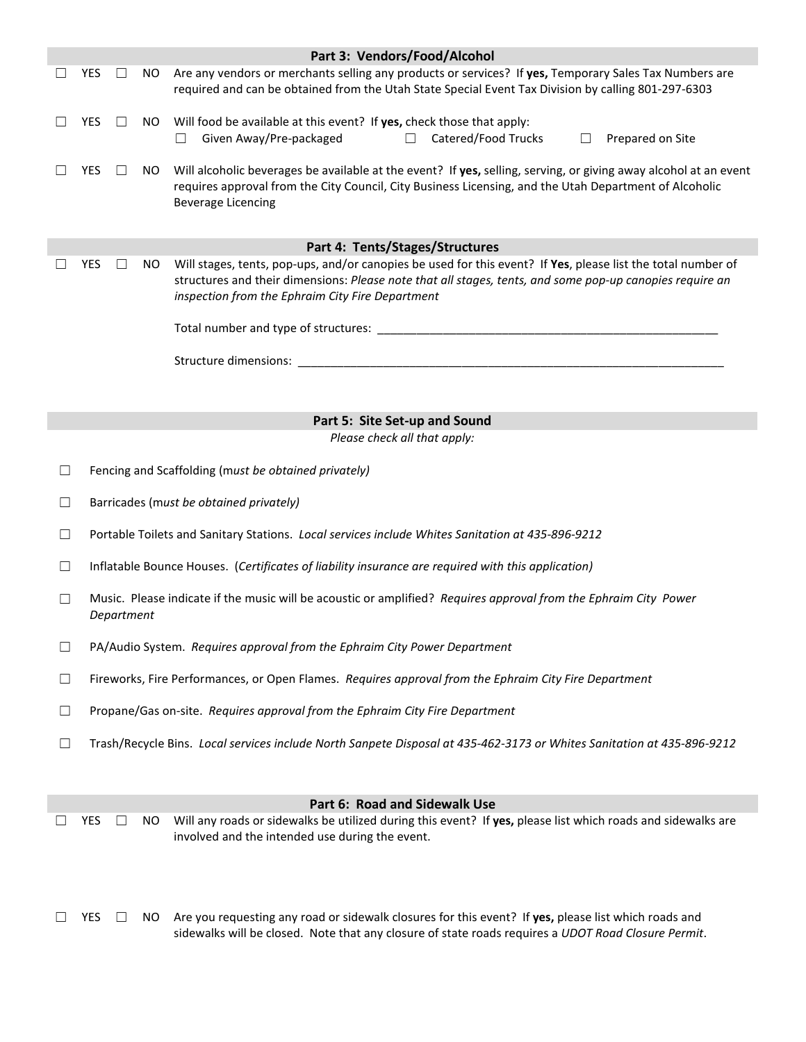|        |                                                                                                                                                                                                                                                                                                        |        |                                                                                                                                                                                                                      | Part 3: Vendors/Food/Alcohol                                                                                                                                              |  |  |  |  |  |
|--------|--------------------------------------------------------------------------------------------------------------------------------------------------------------------------------------------------------------------------------------------------------------------------------------------------------|--------|----------------------------------------------------------------------------------------------------------------------------------------------------------------------------------------------------------------------|---------------------------------------------------------------------------------------------------------------------------------------------------------------------------|--|--|--|--|--|
|        | <b>YES</b>                                                                                                                                                                                                                                                                                             |        | Are any vendors or merchants selling any products or services? If yes, Temporary Sales Tax Numbers are<br>NO.<br>required and can be obtained from the Utah State Special Event Tax Division by calling 801-297-6303 |                                                                                                                                                                           |  |  |  |  |  |
|        | <b>YES</b>                                                                                                                                                                                                                                                                                             | $\Box$ | NO.                                                                                                                                                                                                                  | Will food be available at this event? If yes, check those that apply:<br>Given Away/Pre-packaged<br>Catered/Food Trucks<br>Prepared on Site<br>$\Box$<br>$\Box$<br>$\Box$ |  |  |  |  |  |
|        | Will alcoholic beverages be available at the event? If yes, selling, serving, or giving away alcohol at an event<br><b>YES</b><br>NO.<br>requires approval from the City Council, City Business Licensing, and the Utah Department of Alcoholic<br><b>Beverage Licencing</b>                           |        |                                                                                                                                                                                                                      |                                                                                                                                                                           |  |  |  |  |  |
|        |                                                                                                                                                                                                                                                                                                        |        |                                                                                                                                                                                                                      | Part 4: Tents/Stages/Structures                                                                                                                                           |  |  |  |  |  |
|        | Will stages, tents, pop-ups, and/or canopies be used for this event? If Yes, please list the total number of<br><b>YES</b><br>U<br>NO.<br>structures and their dimensions: Please note that all stages, tents, and some pop-up canopies require an<br>inspection from the Ephraim City Fire Department |        |                                                                                                                                                                                                                      |                                                                                                                                                                           |  |  |  |  |  |
|        |                                                                                                                                                                                                                                                                                                        |        |                                                                                                                                                                                                                      |                                                                                                                                                                           |  |  |  |  |  |
|        |                                                                                                                                                                                                                                                                                                        |        |                                                                                                                                                                                                                      |                                                                                                                                                                           |  |  |  |  |  |
|        |                                                                                                                                                                                                                                                                                                        |        |                                                                                                                                                                                                                      |                                                                                                                                                                           |  |  |  |  |  |
|        |                                                                                                                                                                                                                                                                                                        |        |                                                                                                                                                                                                                      | Part 5: Site Set-up and Sound                                                                                                                                             |  |  |  |  |  |
|        |                                                                                                                                                                                                                                                                                                        |        |                                                                                                                                                                                                                      | Please check all that apply:                                                                                                                                              |  |  |  |  |  |
| $\Box$ |                                                                                                                                                                                                                                                                                                        |        |                                                                                                                                                                                                                      | Fencing and Scaffolding (must be obtained privately)                                                                                                                      |  |  |  |  |  |
| ப      |                                                                                                                                                                                                                                                                                                        |        |                                                                                                                                                                                                                      | Barricades (must be obtained privately)                                                                                                                                   |  |  |  |  |  |
| ⊔      | Portable Toilets and Sanitary Stations. Local services include Whites Sanitation at 435-896-9212                                                                                                                                                                                                       |        |                                                                                                                                                                                                                      |                                                                                                                                                                           |  |  |  |  |  |
| $\Box$ | Inflatable Bounce Houses. (Certificates of liability insurance are required with this application)                                                                                                                                                                                                     |        |                                                                                                                                                                                                                      |                                                                                                                                                                           |  |  |  |  |  |
| $\Box$ | Music. Please indicate if the music will be acoustic or amplified? Requires approval from the Ephraim City Power<br>Department                                                                                                                                                                         |        |                                                                                                                                                                                                                      |                                                                                                                                                                           |  |  |  |  |  |
| $\Box$ | PA/Audio System. Requires approval from the Ephraim City Power Department                                                                                                                                                                                                                              |        |                                                                                                                                                                                                                      |                                                                                                                                                                           |  |  |  |  |  |
| $\Box$ | Fireworks, Fire Performances, or Open Flames. Requires approval from the Ephraim City Fire Department                                                                                                                                                                                                  |        |                                                                                                                                                                                                                      |                                                                                                                                                                           |  |  |  |  |  |
| ⊔      | Propane/Gas on-site. Requires approval from the Ephraim City Fire Department                                                                                                                                                                                                                           |        |                                                                                                                                                                                                                      |                                                                                                                                                                           |  |  |  |  |  |
| ⊔      | Trash/Recycle Bins. Local services include North Sanpete Disposal at 435-462-3173 or Whites Sanitation at 435-896-9212                                                                                                                                                                                 |        |                                                                                                                                                                                                                      |                                                                                                                                                                           |  |  |  |  |  |
|        |                                                                                                                                                                                                                                                                                                        |        |                                                                                                                                                                                                                      | Part 6: Road and Sidewalk Use                                                                                                                                             |  |  |  |  |  |
|        | <b>YES</b>                                                                                                                                                                                                                                                                                             |        | NO.                                                                                                                                                                                                                  | Will any roads or sidewalks be utilized during this event? If yes, please list which roads and sidewalks are<br>involved and the intended use during the event.           |  |  |  |  |  |

☐ YES ☐ NO Are you requesting any road or sidewalk closures for this event? If **yes,** please list which roads and sidewalks will be closed. Note that any closure of state roads requires a *UDOT Road Closure Permit*.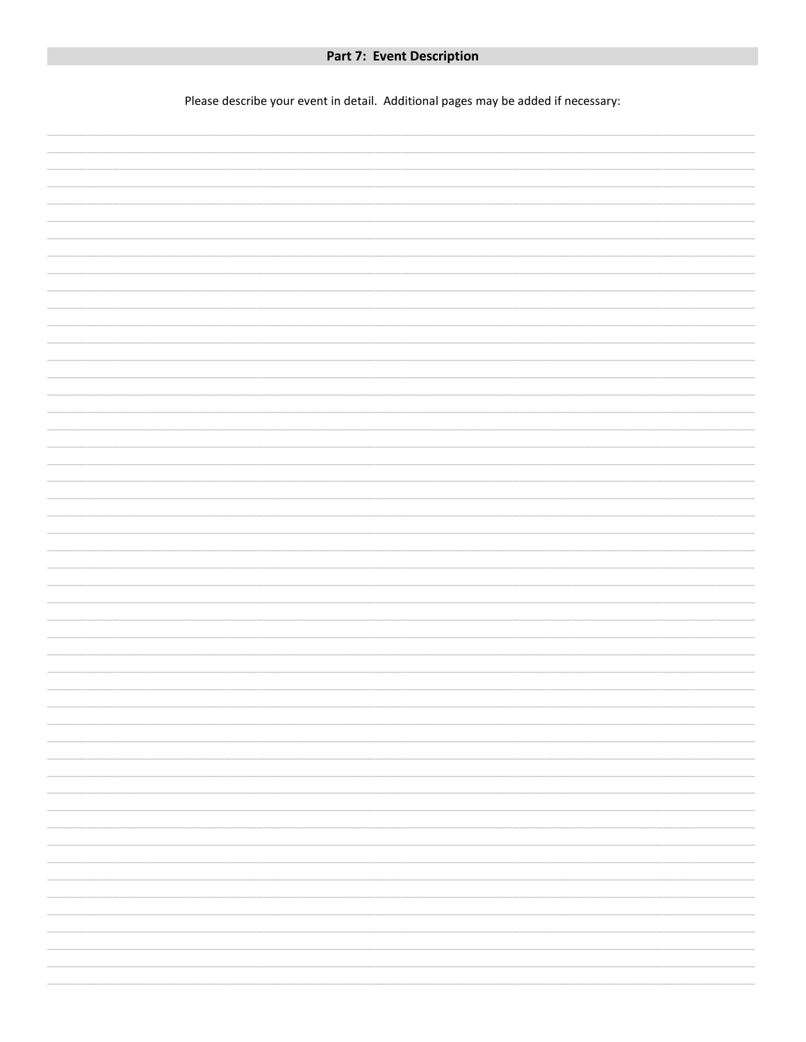Please describe your event in detail. Additional pages may be added if necessary:

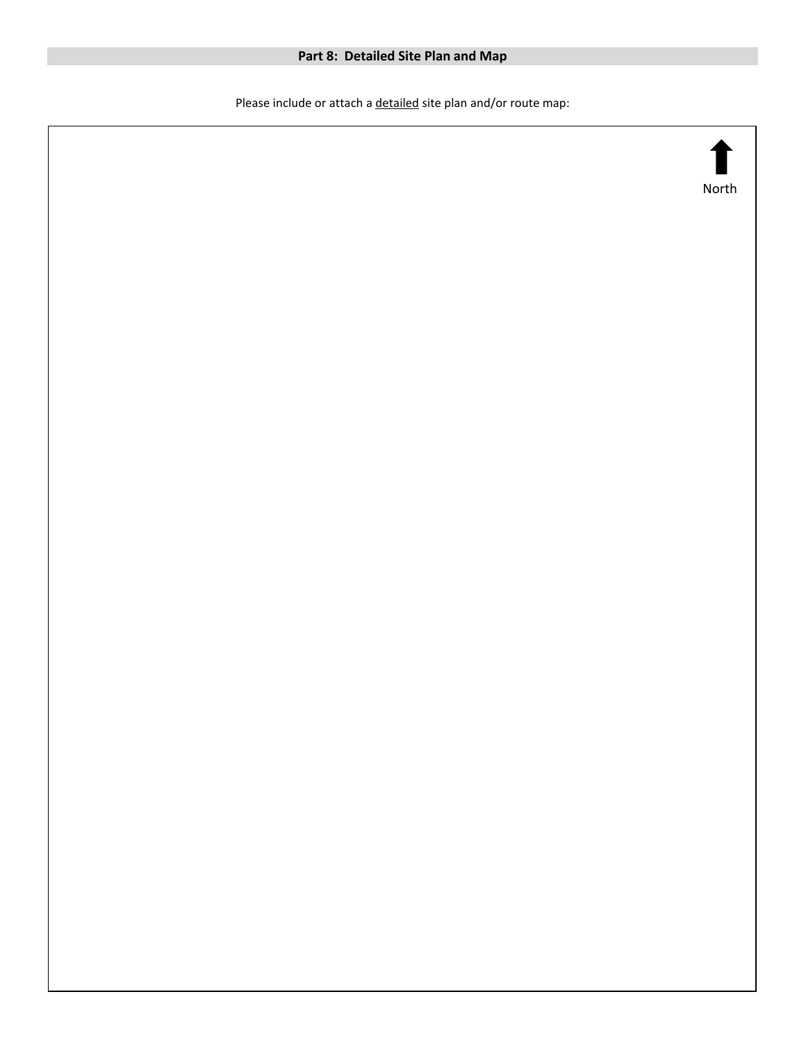# **Part 8: Detailed Site Plan and Map**

Please include or attach a detailed site plan and/or route map:

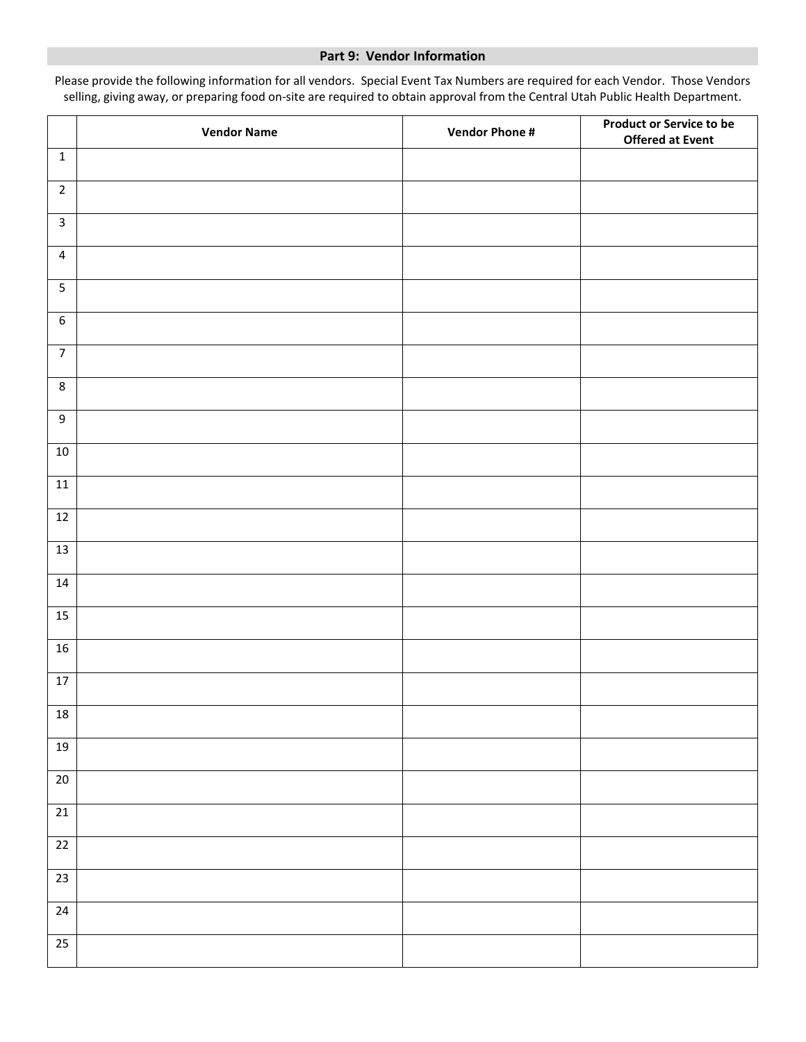#### **Part 9: Vendor Information**

Please provide the following information for all vendors. Special Event Tax Numbers are required for each Vendor. Those Vendors selling, giving away, or preparing food on-site are required to obtain approval from the Central Utah Public Health Department.

|                  | <b>Vendor Name</b> | <b>Vendor Phone #</b> | <b>Product or Service to be</b><br><b>Offered at Event</b> |
|------------------|--------------------|-----------------------|------------------------------------------------------------|
| $\mathbf 1$      |                    |                       |                                                            |
| $\overline{2}$   |                    |                       |                                                            |
| $\mathbf{3}$     |                    |                       |                                                            |
| 4                |                    |                       |                                                            |
| $\sqrt{5}$       |                    |                       |                                                            |
| $\boldsymbol{6}$ |                    |                       |                                                            |
| $\overline{7}$   |                    |                       |                                                            |
| $\,8\,$          |                    |                       |                                                            |
| $\boldsymbol{9}$ |                    |                       |                                                            |
| $10\,$           |                    |                       |                                                            |
| $11\,$           |                    |                       |                                                            |
| $12\,$           |                    |                       |                                                            |
| 13               |                    |                       |                                                            |
| $14\,$           |                    |                       |                                                            |
|                  |                    |                       |                                                            |
| 15               |                    |                       |                                                            |
| 16               |                    |                       |                                                            |
| $17\,$           |                    |                       |                                                            |
| ${\bf 18}$       |                    |                       |                                                            |
| $19$             |                    |                       |                                                            |
| 20               |                    |                       |                                                            |
| $\overline{21}$  |                    |                       |                                                            |
| $22\,$           |                    |                       |                                                            |
| $\overline{23}$  |                    |                       |                                                            |
| 24               |                    |                       |                                                            |
| 25               |                    |                       |                                                            |